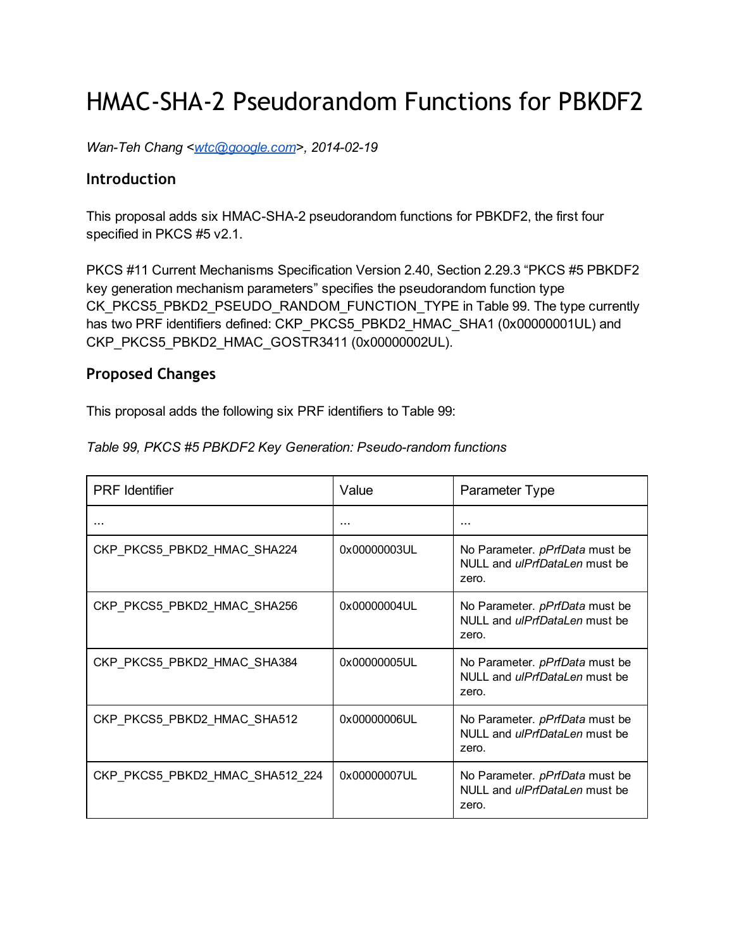## HMAC‐SHA‐2 Pseudorandom Functions for PBKDF2

*Wan-Teh Chang* < $wtc@goode.com$  >, 2014-02-19

## **Introduction**

This proposal adds six HMAC-SHA-2 pseudorandom functions for PBKDF2, the first four specified in PKCS #5 v2.1.

PKCS #11 Current Mechanisms Specification Version 2.40, Section 2.29.3 "PKCS #5 PBKDF2 key generation mechanism parameters" specifies the pseudorandom function type CK\_PKCS5\_PBKD2\_PSEUDO\_RANDOM\_FUNCTION\_TYPE in Table 99. The type currently has two PRF identifiers defined: CKP\_PKCS5\_PBKD2\_HMAC\_SHA1 (0x00000001UL) and CKP\_PKCS5\_PBKD2\_HMAC\_GOSTR3411 (0x00000002UL).

## **Proposed Changes**

This proposal adds the following six PRF identifiers to Table 99:

| <b>PRF</b> Identifier           | Value        | Parameter Type                                                                         |
|---------------------------------|--------------|----------------------------------------------------------------------------------------|
|                                 | .            | $\cdots$                                                                               |
| CKP PKCS5 PBKD2 HMAC SHA224     | 0x00000003UL | No Parameter. <i>pPrfData</i> must be<br>NULL and <i>ulPrfDataLen</i> must be<br>zero. |
| CKP_PKCS5_PBKD2_HMAC_SHA256     | 0x00000004UL | No Parameter. <i>pPrfData</i> must be<br>NULL and ulPrfDataLen must be<br>zero.        |
| CKP_PKCS5_PBKD2_HMAC_SHA384     | 0x00000005UL | No Parameter. pPrfData must be<br>NULL and <i>ulPrfDataLen</i> must be<br>zero.        |
| CKP_PKCS5_PBKD2_HMAC_SHA512     | 0x00000006UL | No Parameter. <i>pPrfData</i> must be<br>NULL and <i>ulPrfDataLen</i> must be<br>zero. |
| CKP_PKCS5_PBKD2_HMAC_SHA512_224 | 0x00000007UL | No Parameter. <i>pPrfData</i> must be<br>NULL and <i>ulPrfDataLen</i> must be<br>zero. |